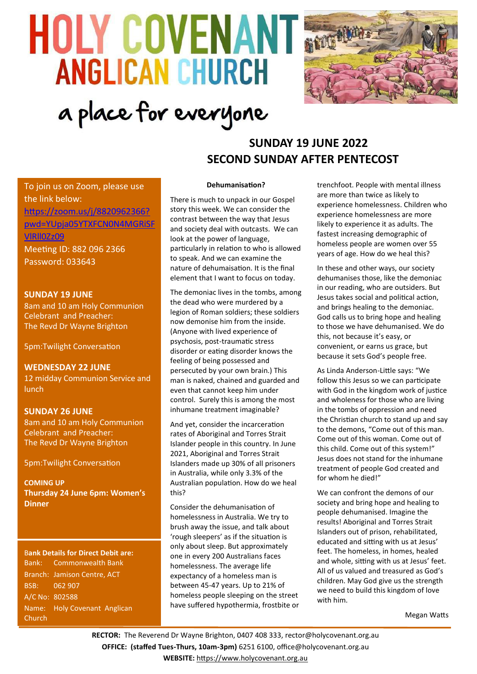# **HOLY COVENANT & ANGLICAN CHURCH** a place for everyone



# **SUNDAY 19 JUNE 2022 SECOND SUNDAY AFTER PENTECOST**

To join us on Zoom, please use the link below: [https://zoom.us/j/8820962366?](https://zoom.us/j/8820962366?pwd=YUpja05YTXFCN0N4MGRiSFVlRll0Zz09) [pwd=YUpja05YTXFCN0N4MGRiSF](https://zoom.us/j/8820962366?pwd=YUpja05YTXFCN0N4MGRiSFVlRll0Zz09) [VlRll0Zz09](https://zoom.us/j/8820962366?pwd=YUpja05YTXFCN0N4MGRiSFVlRll0Zz09) Meeting ID: 882 096 2366 Password: 033643

**SUNDAY 19 JUNE** 8am and 10 am Holy Communion Celebrant and Preacher: The Revd Dr Wayne Brighton

5pm:Twilight Conversation

**WEDNESDAY 22 JUNE** 12 midday Communion Service and lunch

#### **SUNDAY 26 JUNE**

8am and 10 am Holy Communion Celebrant and Preacher: The Revd Dr Wayne Brighton

5pm:Twilight Conversation

**COMING UP Thursday 24 June 6pm: Women's Dinner**

B**ank Details for Direct Debit are:** Bank: Commonwealth Bank Branch: Jamison Centre, ACT BSB: 062 907 A/C No: 802588 Name: Holy Covenant Anglican **Church** 

#### **Dehumanisation?**

There is much to unpack in our Gospel story this week. We can consider the contrast between the way that Jesus and society deal with outcasts. We can look at the power of language, particularly in relation to who is allowed to speak. And we can examine the nature of dehumaisation. It is the final element that I want to focus on today.

The demoniac lives in the tombs, among the dead who were murdered by a legion of Roman soldiers; these soldiers now demonise him from the inside. (Anyone with lived experience of psychosis, post-traumatic stress disorder or eating disorder knows the feeling of being possessed and persecuted by your own brain.) This man is naked, chained and guarded and even that cannot keep him under control. Surely this is among the most inhumane treatment imaginable?

And yet, consider the incarceration rates of Aboriginal and Torres Strait Islander people in this country. In June 2021, Aboriginal and Torres Strait Islanders made up 30% of all prisoners in Australia, while only 3.3% of the Australian population. How do we heal this?

Consider the dehumanisation of homelessness in Australia. We try to brush away the issue, and talk about 'rough sleepers' as if the situation is only about sleep. But approximately one in every 200 Australians faces homelessness. The average life expectancy of a homeless man is between 45-47 years. Up to 21% of homeless people sleeping on the street have suffered hypothermia, frostbite or trenchfoot. People with mental illness are more than twice as likely to experience homelessness. Children who experience homelessness are more likely to experience it as adults. The fastest increasing demographic of homeless people are women over 55 years of age. How do we heal this?

In these and other ways, our society dehumanises those, like the demoniac in our reading, who are outsiders. But Jesus takes social and political action, and brings healing to the demoniac. God calls us to bring hope and healing to those we have dehumanised. We do this, not because it's easy, or convenient, or earns us grace, but because it sets God's people free.

As Linda Anderson-Little says: "We follow this Jesus so we can participate with God in the kingdom work of justice and wholeness for those who are living in the tombs of oppression and need the Christian church to stand up and say to the demons, "Come out of this man. Come out of this woman. Come out of this child. Come out of this system!" Jesus does not stand for the inhumane treatment of people God created and for whom he died!"

We can confront the demons of our society and bring hope and healing to people dehumanised. Imagine the results! Aboriginal and Torres Strait Islanders out of prison, rehabilitated, educated and sitting with us at Jesus' feet. The homeless, in homes, healed and whole, sitting with us at Jesus' feet. All of us valued and treasured as God's children. May God give us the strength we need to build this kingdom of love with him.

Megan Watts

**RECTOR:** The Reverend Dr Wayne Brighton, 0407 408 333, [rector@holycovenant.org.au](mailto:rector@holycovenant.org.au) **OFFICE: (staffed Tues-Thurs, 10am-3pm)** 6251 6100, office@holycovenant.org.au **WEBSITE:** [https://www.holycovenant.org.au](https://www.holycovenant.org.au/)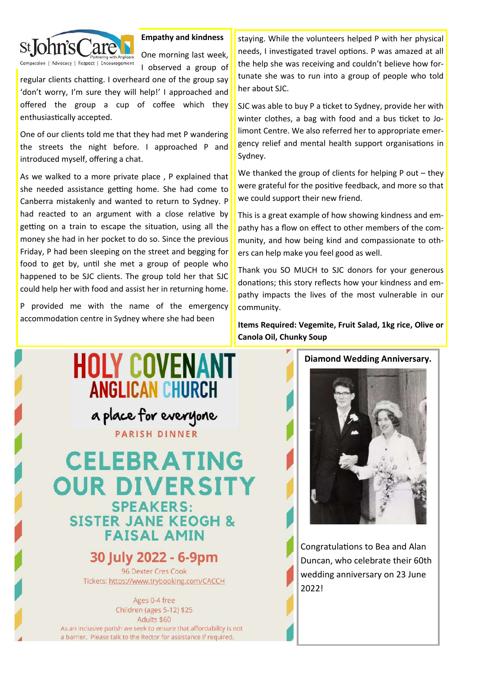

**Empathy and kindness**

One morning last week, I observed a group of

regular clients chatting. I overheard one of the group say 'don't worry, I'm sure they will help!' I approached and offered the group a cup of coffee which they enthusiastically accepted.

One of our clients told me that they had met P wandering the streets the night before. I approached P and introduced myself, offering a chat.

As we walked to a more private place , P explained that she needed assistance getting home. She had come to Canberra mistakenly and wanted to return to Sydney. P had reacted to an argument with a close relative by getting on a train to escape the situation, using all the money she had in her pocket to do so. Since the previous Friday, P had been sleeping on the street and begging for food to get by, until she met a group of people who happened to be SJC clients. The group told her that SJC could help her with food and assist her in returning home.

P provided me with the name of the emergency accommodation centre in Sydney where she had been

staying. While the volunteers helped P with her physical needs, I investigated travel options. P was amazed at all the help she was receiving and couldn't believe how fortunate she was to run into a group of people who told her about SJC.

SJC was able to buy P a ticket to Sydney, provide her with winter clothes, a bag with food and a bus ticket to Jolimont Centre. We also referred her to appropriate emergency relief and mental health support organisations in Sydney.

We thanked the group of clients for helping P out – they were grateful for the positive feedback, and more so that we could support their new friend.

This is a great example of how showing kindness and empathy has a flow on effect to other members of the community, and how being kind and compassionate to others can help make you feel good as well.

Thank you SO MUCH to SJC donors for your generous donations; this story reflects how your kindness and empathy impacts the lives of the most vulnerable in our community.

**Items Required: Vegemite, Fruit Salad, 1kg rice, Olive or Canola Oil, Chunky Soup**



Congratulations to Bea and Alan Duncan, who celebrate their 60th wedding anniversary on 23 June 2022!

#### **Diamond Wedding Anniversary.**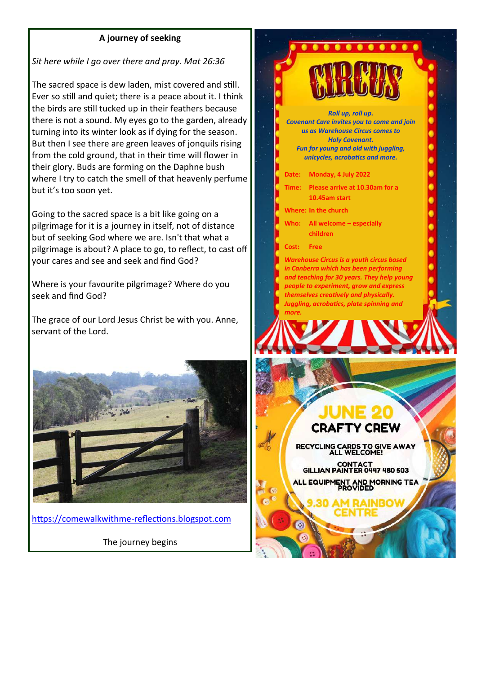#### **A journey of seeking**

*Sit here while I go over there and pray. Mat 26:36*

The sacred space is dew laden, mist covered and still. Ever so still and quiet; there is a peace about it. I think the birds are still tucked up in their feathers because there is not a sound. My eyes go to the garden, already turning into its winter look as if dying for the season. But then I see there are green leaves of jonquils rising from the cold ground, that in their time will flower in their glory. Buds are forming on the Daphne bush where I try to catch the smell of that heavenly perfume but it's too soon yet.

Going to the sacred space is a bit like going on a pilgrimage for it is a journey in itself, not of distance but of seeking God where we are. Isn't that what a pilgrimage is about? A place to go, to reflect, to cast off your cares and see and seek and find God?

Where is your favourite pilgrimage? Where do you seek and find God?

The grace of our Lord Jesus Christ be with you. Anne, servant of the Lord.



[https://comewalkwithme](https://comewalkwithme-reflections.blogspot.com)-reflections.blogspot.com

The journey begins

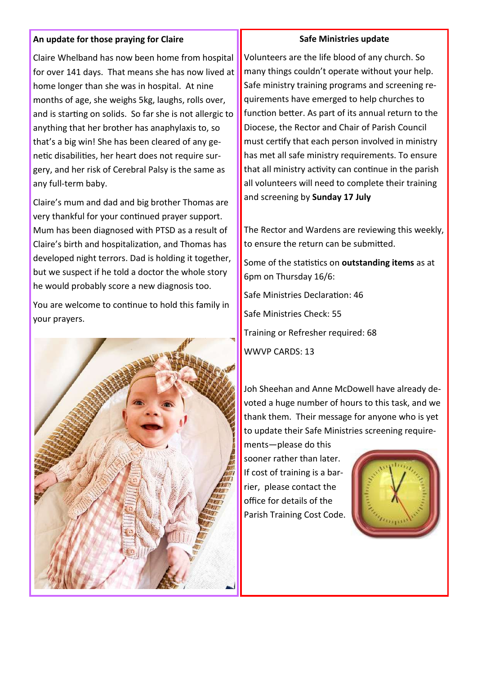#### **An update for those praying for Claire**

Claire Whelband has now been home from hospital for over 141 days. That means she has now lived at home longer than she was in hospital. At nine months of age, she weighs 5kg, laughs, rolls over, and is starting on solids. So far she is not allergic to anything that her brother has anaphylaxis to, so that's a big win! She has been cleared of any genetic disabilities, her heart does not require surgery, and her risk of Cerebral Palsy is the same as any full-term baby.

Claire's mum and dad and big brother Thomas are very thankful for your continued prayer support. Mum has been diagnosed with PTSD as a result of Claire's birth and hospitalization, and Thomas has developed night terrors. Dad is holding it together, but we suspect if he told a doctor the whole story he would probably score a new diagnosis too.

You are welcome to continue to hold this family in your prayers.



#### **Safe Ministries update**

Volunteers are the life blood of any church. So many things couldn't operate without your help. Safe ministry training programs and screening requirements have emerged to help churches to function better. As part of its annual return to the Diocese, the Rector and Chair of Parish Council must certify that each person involved in ministry has met all safe ministry requirements. To ensure that all ministry activity can continue in the parish all volunteers will need to complete their training and screening by **Sunday 17 July** 

The Rector and Wardens are reviewing this weekly, to ensure the return can be submitted.

Some of the statistics on **outstanding items** as at 6pm on Thursday 16/6:

Safe Ministries Declaration: 46 Safe Ministries Check: 55 Training or Refresher required: 68 WWVP CARDS: 13

Joh Sheehan and Anne McDowell have already devoted a huge number of hours to this task, and we thank them. Their message for anyone who is yet to update their Safe Ministries screening require-

ments—please do this sooner rather than later. If cost of training is a barrier, please contact the office for details of the Parish Training Cost Code.

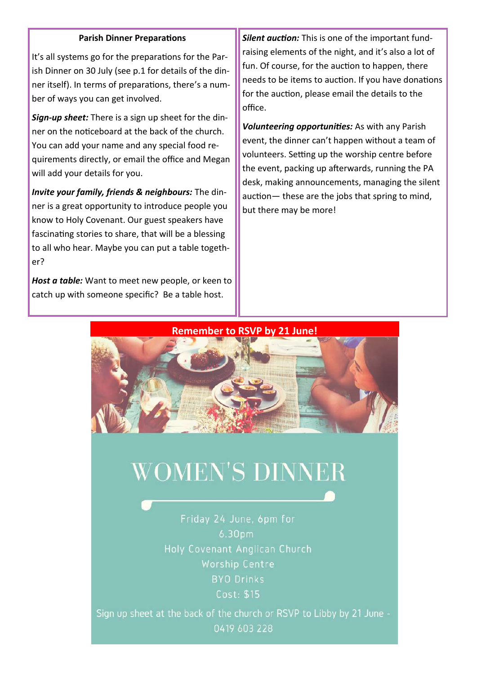#### **Parish Dinner Preparations**

It's all systems go for the preparations for the Parish Dinner on 30 July (see p.1 for details of the dinner itself). In terms of preparations, there's a number of ways you can get involved.

*Sign-up sheet:* There is a sign up sheet for the dinner on the noticeboard at the back of the church. You can add your name and any special food requirements directly, or email the office and Megan will add your details for you.

*Invite your family, friends & neighbours:* The dinner is a great opportunity to introduce people you know to Holy Covenant. Our guest speakers have fascinating stories to share, that will be a blessing to all who hear. Maybe you can put a table together?

*Host a table:* Want to meet new people, or keen to catch up with someone specific? Be a table host.

*Silent auction:* This is one of the important fundraising elements of the night, and it's also a lot of fun. Of course, for the auction to happen, there needs to be items to auction. If you have donations for the auction, please email the details to the office.

*Volunteering opportunities:* As with any Parish event, the dinner can't happen without a team of volunteers. Setting up the worship centre before the event, packing up afterwards, running the PA desk, making announcements, managing the silent auction— these are the jobs that spring to mind, but there may be more!





# **WOMEN'S DINNER**

Friday 24 June, 6pm for 6.30pm Holy Covenant Anglican Church Worship Centre **BYO Drinks** Cost: \$15

Sign up sheet at the back of the church or RSVP to Libby by 21 June -0419 603 228